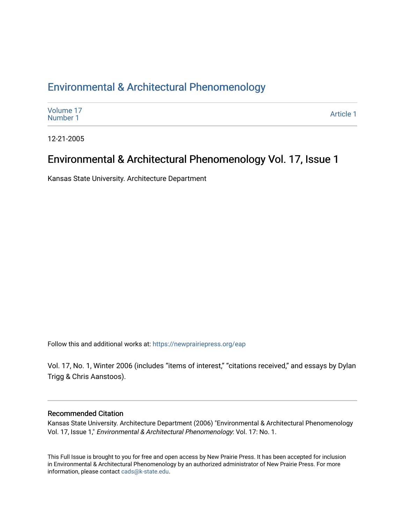### [Environmental & Architectural Phenomenology](https://newprairiepress.org/eap)

| Volume 17<br>Number 1 | Article 1 |
|-----------------------|-----------|
|-----------------------|-----------|

12-21-2005

### Environmental & Architectural Phenomenology Vol. 17, Issue 1

Kansas State University. Architecture Department

Follow this and additional works at: [https://newprairiepress.org/eap](https://newprairiepress.org/eap?utm_source=newprairiepress.org%2Feap%2Fvol17%2Fiss1%2F1&utm_medium=PDF&utm_campaign=PDFCoverPages) 

Vol. 17, No. 1, Winter 2006 (includes "items of interest," "citations received," and essays by Dylan Trigg & Chris Aanstoos).

#### Recommended Citation

Kansas State University. Architecture Department (2006) "Environmental & Architectural Phenomenology Vol. 17, Issue 1," Environmental & Architectural Phenomenology: Vol. 17: No. 1.

This Full Issue is brought to you for free and open access by New Prairie Press. It has been accepted for inclusion in Environmental & Architectural Phenomenology by an authorized administrator of New Prairie Press. For more information, please contact [cads@k-state.edu](mailto:cads@k-state.edu).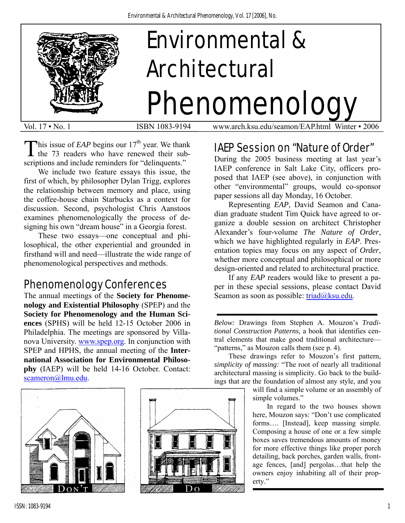

This issue of *EAP* begins our  $17<sup>th</sup>$  year. We thank the 73 readers who have renewed their sub-**1** the 73 readers who have renewed their subscriptions and include reminders for "delinquents."

 We include two feature essays this issue, the first of which, by philosopher Dylan Trigg, explores the relationship between memory and place, using the coffee-house chain Starbucks as a context for discussion. Second, psychologist Chris Aanstoos examines phenomenologically the process of designing his own "dream house" in a Georgia forest.

These two essays—one conceptual and philosophical, the other experiential and grounded in firsthand will and need—illustrate the wide range of phenomenological perspectives and methods.

## Phenomenology Conferences

The annual meetings of the **Society for Phenomenology and Existential Philosophy** (SPEP) and the **Society for Phenomenology and the Human Sciences** (SPHS) will be held 12-15 October 2006 in Philadelphia. The meetings are sponsored by Villanova University. [www.spep.org.](http://www.spep.org/) In conjunction with SPEP and HPHS, the annual meeting of the **International Association for Environmental Philosophy** (IAEP) will be held 14-16 October. Contact: [scameron@lmu.edu](mailto:scameron@lmu.edu).





Vol. 17 ▪ No. 1 ISBN 1083-9194 www.arch.ksu.edu/seamon/EAP.html Winter ▪ 2006

## IAEP Session on "Nature of Order"

During the 2005 business meeting at last year's IAEP conference in Salt Lake City, officers proposed that IAEP (see above), in conjunction with other "environmental" groups, would co-sponsor paper sessions all day Monday, 16 October.

 Representing *EAP*, David Seamon and Canadian graduate student Tim Quick have agreed to organize a double session on architect Christopher Alexander's four-volume *The Nature of Order*, which we have highlighted regularly in *EAP*. Presentation topics may focus on any aspect of *Order*, whether more conceptual and philosophical or more design-oriented and related to architectural practice.

If any *EAP* readers would like to present a paper in these special sessions, please contact David Seamon as soon as possible:  $triad@ksu.edu$ .

*Below:* Drawings from Stephen A. Mouzon's *Traditional Construction Patterns*, a book that identifies central elements that make good traditional architecture— "patterns," as Mouzon calls them (see p. 4).

These drawings refer to Mouzon's first pattern, *simplicity of massing:* "The root of nearly all traditional architectural massing is simplicity. Go back to the buildings that are the foundation of almost any style, and you

> will find a simple volume or an assembly of simple volumes."

In regard to the two houses shown here, Mouzon says: "Don't use complicated forms…. [Instead], keep massing simple. Composing a house of one or a few simple boxes saves tremendous amounts of money for more effective things like proper porch detailing, back porches, garden walls, frontage fences, [and] pergolas…that help the owners enjoy inhabiting all of their property."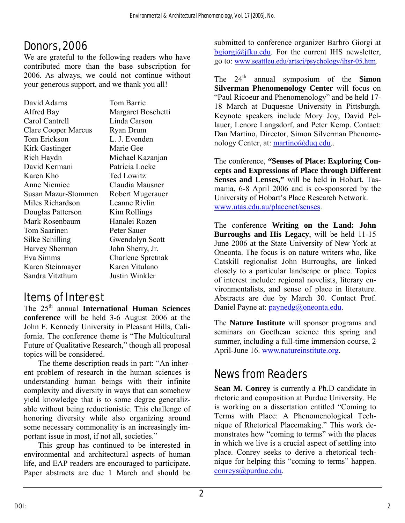# Donors, 2006

We are grateful to the following readers who have contributed more than the base subscription for 2006. As always, we could not continue without your generous support, and we thank you all!

| David Adams                | Tom Barrie         |
|----------------------------|--------------------|
| Alfred Bay                 | Margaret Boschetti |
| Carol Cantrell             | Linda Carson       |
| <b>Clare Cooper Marcus</b> | <b>Ryan Drum</b>   |
| Tom Erickson               | L. J. Evenden      |
| Kirk Gastinger             | Marie Gee          |
| Rich Haydn                 | Michael Kazanjan   |
| David Kermani              | Patricia Locke     |
| Karen Kho                  | <b>Ted Lowitz</b>  |
| <b>Anne Niemiec</b>        | Claudia Mausner    |
| Susan Mazur-Stommen        | Robert Mugerauer   |
| Miles Richardson           | Leanne Rivlin      |
| Douglas Patterson          | Kim Rollings       |
| Mark Rosenbaum             | Hanalei Rozen      |
| Tom Saarinen               | Peter Sauer        |
| Silke Schilling            | Gwendolyn Scott    |
| Harvey Sherman             | John Sherry, Jr.   |
| Eva Simms                  | Charlene Spretnak  |
| Karen Steinmayer           | Karen Vitulano     |
| Sandra Vitzthum            | Justin Winkler     |

## Items of Interest

The 25th annual **International Human Sciences conference** will be held 3-6 August 2006 at the John F. Kennedy University in Pleasant Hills, California. The conference theme is "The Multicultural Future of Qualitative Research," though all proposal topics will be considered.

The theme description reads in part: "An inherent problem of research in the human sciences is understanding human beings with their infinite complexity and diversity in ways that can somehow yield knowledge that is to some degree generalizable without being reductionistic. This challenge of honoring diversity while also organizing around some necessary commonality is an increasingly important issue in most, if not all, societies."

This group has continued to be interested in environmental and architectural aspects of human life, and EAP readers are encouraged to participate. Paper abstracts are due 1 March and should be

submitted to conference organizer Barbro Giorgi at  $b$ giorgi $\omega$ jfku.edu. For the current IHS newsletter, go to: [www.seattleu.edu/artsci/psychology/ihsr-05.htm](http://www.seattleu.edu/artsci/psychology/ihsr-05.htm).

The  $24<sup>th</sup>$  annual symposium of the **Simon Silverman Phenomenology Center** will focus on "Paul Ricoeur and Phenomenology" and be held 17- 18 March at Duquesne University in Pittsburgh. Keynote speakers include Mory Joy, David Pellauer, Lenore Langsdorf, and Peter Kemp. Contact: Dan Martino, Director, Simon Silverman Phenomenology Center, at: [martino@duq.edu.](mailto:martino@duq.edu).

The conference, **"Senses of Place: Exploring Concepts and Expressions of Place through Different Senses and Lenses,"** will be held in Hobart, Tasmania, 6-8 April 2006 and is co-sponsored by the University of Hobart's Place Research Network. [www.utas.edu.au/placenet/senses](http://www.utas.edu.au/placenet/senses).

The conference **Writing on the Land: John Burroughs and His Legacy**, will be held 11-15 June 2006 at the State University of New York at Oneonta. The focus is on nature writers who, like Catskill regionalist John Burroughs, are linked closely to a particular landscape or place. Topics of interest include: regional novelists, literary environmentalists, and sense of place in literature. Abstracts are due by March 30. Contact Prof. Daniel Payne at: [paynedg@oneonta.edu](mailto:paynedg@oneonta.edu).

The **Nature Institute** will sponsor programs and seminars on Goethean science this spring and summer, including a full-time immersion course, 2 April-June 16. [www.natureinstitute.org.](http://www.natureinstitute.org/)

## News from Readers

**Sean M. Conrey** is currently a Ph.D candidate in rhetoric and composition at Purdue University. He is working on a dissertation entitled "Coming to Terms with Place: A Phenomenological Technique of Rhetorical Placemaking." This work demonstrates how "coming to terms" with the places in which we live is a crucial aspect of settling into place. Conrey seeks to derive a rhetorical technique for helping this "coming to terms" happen. [conreys@purdue.edu](mailto:conreys@purdue.edu).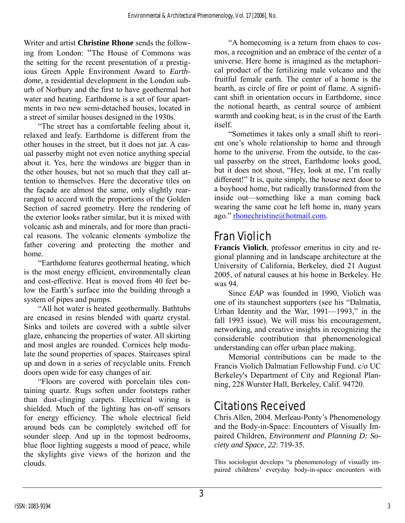Writer and artist **Christine Rhone** sends the following from London: "The House of Commons was the setting for the recent presentation of a prestigious Green Apple Environment Award to *Earthdome,* a residential development in the London suburb of Norbury and the first to have geothermal hot water and heating. Earthdome is a set of four apartments in two new semi-detached houses, located in a street of similar houses designed in the 1930s.

"The street has a comfortable feeling about it, relaxed and leafy. Earthdome is different from the other houses in the street, but it does not jar. A casual passerby might not even notice anything special about it. Yes, here the windows are bigger than in the other houses, but not so much that they call attention to themselves. Here the decorative tiles on the façade are almost the same, only slightly rearranged to accord with the proportions of the Golden Section of sacred geometry. Here the rendering of the exterior looks rather similar, but it is mixed with volcanic ash and minerals, and for more than practical reasons. The volcanic elements symbolize the father covering and protecting the mother and home.

"Earthdome features geothermal heating, which is the most energy efficient, environmentally clean and cost-effective. Heat is moved from 40 feet below the Earth's surface into the building through a system of pipes and pumps.

"All hot water is heated geothermally. Bathtubs are encased in resins blended with quartz crystal. Sinks and toilets are covered with a subtle silver glaze, enhancing the properties of water. All skirting and most angles are rounded. Cornices help modulate the sound properties of spaces. Staircases spiral up and down in a series of recyclable units. French doors open wide for easy changes of air.

"Floors are covered with porcelain tiles containing quartz. Rugs soften under footsteps rather than dust-clinging carpets. Electrical wiring is shielded. Much of the lighting has on-off sensors for energy efficiency. The whole electrical field around beds can be completely switched off for sounder sleep. And up in the topmost bedrooms, blue floor lighting suggests a mood of peace, while the skylights give views of the horizon and the clouds.

"A homecoming is a return from chaos to cosmos, a recognition and an embrace of the center of a universe. Here home is imagined as the metaphorical product of the fertilizing male volcano and the fruitful female earth. The center of a home is the hearth, as circle of fire or point of flame. A significant shift in orientation occurs in Earthdome, since the notional hearth, as central source of ambient warmth and cooking heat, is in the crust of the Earth itself.

"Sometimes it takes only a small shift to reorient one's whole relationship to home and through home to the universe. From the outside, to the casual passerby on the street, Earthdome looks good, but it does not shout, "Hey, look at me, I'm really different!" It is, quite simply, the house next door to a boyhood home, but radically transformed from the inside out—something like a man coming back wearing the same coat he left home in, many years ago." [rhonechristine@hotmail.com.](mailto:rhonechristine@hotmail.com)

# Fran Violich

**Francis Violich**, professor emeritus in city and regional planning and in landscape architecture at the University of California, Berkeley, died 21 August 2005, of natural causes at his home in Berkeley. He was 94.

Since *EAP* was founded in 1990, Violich was one of its staunchest supporters (see his "Dalmatia, Urban Identity and the War, 1991—1993," in the fall 1993 issue). We will miss his encouragement, networking, and creative insights in recognizing the considerable contribution that phenomenological understanding can offer urban place making.

Memorial contributions can be made to the Francis Violich Dalmatian Fellowship Fund. c/o UC Berkeley's Department of City and Regional Planning, 228 Wurster Hall, Berkeley, Calif. 94720.

## Citations Received

Chris Allen, 2004. Merleau-Ponty's Phenomenology and the Body-in-Space: Encounters of Visually Impaired Children, *Environment and Planning D: Society and Space*, *22*: 719-35.

This sociologist develops "a phenomenology of visually impaired childrens' everyday body-in-space encounters with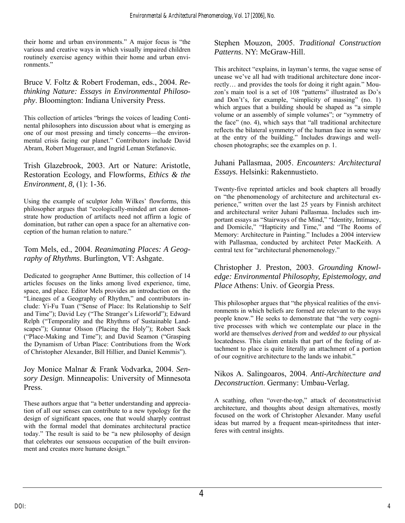their home and urban environments." A major focus is "the various and creative ways in which visually impaired children routinely exercise agency within their home and urban environments."

Bruce V. Foltz & Robert Frodeman, eds., 2004. *Rethinking Nature: Essays in Environmental Philosophy*. Bloomington: Indiana University Press.

This collection of articles "brings the voices of leading Continental philosophers into discussion about what is emerging as one of our most pressing and timely concerns—the environmental crisis facing our planet." Contributors include David Abram, Robert Mugerauer, and Ingrid Leman Stefanovic.

Trish Glazebrook, 2003. Art or Nature: Aristotle, Restoration Ecology, and Flowforms, *Ethics & the Environment*, *8,* (1): 1-36.

Using the example of sculptor John Wilkes' flowforms, this philosopher argues that "ecologically-minded art can demonstrate how production of artifacts need not affirm a logic of domination, but rather can open a space for an alternative conception of the human relation to nature."

Tom Mels, ed., 2004. *Reanimating Places: A Geography of Rhythms*. Burlington, VT: Ashgate.

Dedicated to geographer Anne Buttimer, this collection of 14 articles focuses on the links among lived experience, time, space, and place. Editor Mels provides an introduction on the "Lineages of a Geography of Rhythm," and contributors include: Yi-Fu Tuan ("Sense of Place: Its Relationship to Self and Time"); David Ley ("The Stranger's Lifeworld"); Edward Relph ("Temporality and the Rhythms of Sustainable Landscapes"); Gunnar Olsson (Placing the Holy"); Robert Sack ("Place-Making and Time"); and David Seamon ("Grasping the Dynamism of Urban Place: Contributions from the Work of Christopher Alexander, Bill Hillier, and Daniel Kemmis").

Joy Monice Malnar & Frank Vodvarka, 2004. *Sensory Design*. Minneapolis: University of Minnesota Press.

These authors argue that "a better understanding and appreciation of all our senses can contribute to a new typology for the design of significant spaces, one that would sharply contrast with the formal model that dominates architectural practice today." The result is said to be "a new philosophy of design that celebrates our sensuous occupation of the built environment and creates more humane design."

#### Stephen Mouzon, 2005. *Traditional Construction Patterns*. NY: McGraw-Hill.

This architect "explains, in layman's terms, the vague sense of unease we've all had with traditional architecture done incorrectly… and provides the tools for doing it right again." Mouzon's main tool is a set of 108 "patterns" illustrated as Do's and Don't's, for example, "simplicity of massing" (no. 1) which argues that a building should be shaped as "a simple volume or an assembly of simple volumes"; or "symmetry of the face" (no. 4), which says that "all traditional architecture reflects the bilateral symmetry of the human face in some way at the entry of the building." Includes drawings and wellchosen photographs; see the examples on p. 1.

Juhani Pallasmaa, 2005. *Encounters: Architectural Essays.* Helsinki: Rakennustieto.

Twenty-five reprinted articles and book chapters all broadly on "the phenomenology of architecture and architectural experience," written over the last 25 years by Finnish architect and architectural writer Juhani Pallasmaa. Includes such important essays as "Stairways of the Mind," "Identity, Intimacy, and Domicile," "Hapticity and Time," and "The Rooms of Memory: Architecture in Painting." Includes a 2004 interview with Pallasmaa, conducted by architect Peter MacKeith. A central text for "architectural phenomenology."

Christopher J. Preston, 2003. *Grounding Knowledge: Environmental Philosophy, Epistemology, and Place* Athens: Univ. of Georgia Press.

This philosopher argues that "the physical realities of the environments in which beliefs are formed are relevant to the ways people know." He seeks to demonstrate that "the very cognitive processes with which we contemplate our place in the world are themselves *derived from* and *wedded to* our physical locatedness. This claim entails that part of the feeling of attachment to place is quite literally an attachment of a portion of our cognitive architecture to the lands we inhabit."

Nikos A. Salingoaros, 2004. *Anti-Architecture and Deconstruction*. Germany: Umbau-Verlag.

A scathing, often "over-the-top," attack of deconstructivist architecture, and thoughts about design alternatives, mostly focused on the work of Christopher Alexander. Many useful ideas but marred by a frequent mean-spiritedness that interferes with central insights.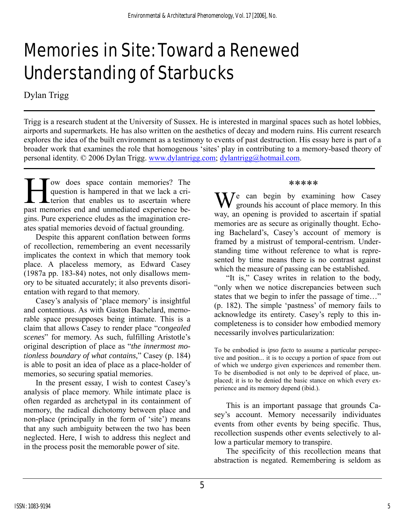# Memories in Site: Toward a Renewed Understanding of Starbucks

Dylan Trigg

Trigg is a research student at the University of Sussex. He is interested in marginal spaces such as hotel lobbies, airports and supermarkets. He has also written on the aesthetics of decay and modern ruins. His current research explores the idea of the built environment as a testimony to events of past destruction. His essay here is part of a broader work that examines the role that homogenous 'sites' play in contributing to a memory-based theory of personal identity. © 2006 Dylan Trigg. [www.dylantrigg.com](http://www.dylantrigg.com/); [dylantrigg@hotmail.com](mailto:dylantrigg@hotmail.com).

The question is hampered in that we lack a criterion that enables us to ascertain where<br>
the memories end and unmediated experience bequestion is hampered in that we lack a cri-Lterion that enables us to ascertain where past memories end and unmediated experience begins. Pure experience eludes as the imagination creates spatial memories devoid of factual grounding.

Despite this apparent conflation between forms of recollection, remembering an event necessarily implicates the context in which that memory took place. A placeless memory, as Edward Casey (1987a pp. 183-84) notes, not only disallows memory to be situated accurately; it also prevents disorientation with regard to that memory.

Casey's analysis of 'place memory' is insightful and contentious. As with Gaston Bachelard, memorable space presupposes being intimate. This is a claim that allows Casey to render place "*congealed scenes*" for memory. As such, fulfilling Aristotle's original description of place as "*the innermost motionless boundary of what contains,*" Casey (p. 184) is able to posit an idea of place as a place-holder of memories, so securing spatial memories.

In the present essay, I wish to contest Casey's analysis of place memory. While intimate place is often regarded as archetypal in its containment of memory, the radical dichotomy between place and non-place (principally in the form of 'site') means that any such ambiguity between the two has been neglected. Here, I wish to address this neglect and in the process posit the memorable power of site.

#### \*\*\*\*\*

e can begin by examining how Casey grounds his account of place memory. In this way, an opening is provided to ascertain if spatial memories are as secure as originally thought. Echoing Bachelard's, Casey's account of memory is framed by a mistrust of temporal-centrism. Understanding time without reference to what is represented by time means there is no contrast against which the measure of passing can be established.

"It is," Casey writes in relation to the body, "only when we notice discrepancies between such states that we begin to infer the passage of time…" (p. 182). The simple 'pastness' of memory fails to acknowledge its entirety. Casey's reply to this incompleteness is to consider how embodied memory necessarily involves particularization:

To be embodied is *ipso facto* to assume a particular perspective and position... it is to occupy a portion of space from out of which we undergo given experiences and remember them. To be disembodied is not only to be deprived of place, unplaced; it is to be denied the basic stance on which every experience and its memory depend (ibid.).

This is an important passage that grounds Casey's account. Memory necessarily individuates events from other events by being specific. Thus, recollection suspends other events selectively to allow a particular memory to transpire.

The specificity of this recollection means that abstraction is negated. Remembering is seldom as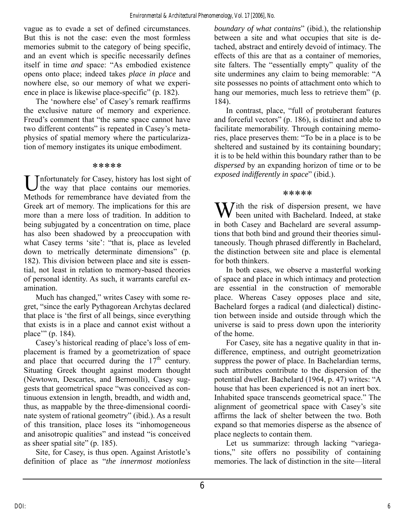vague as to evade a set of defined circumstances. But this is not the case: even the most formless memories submit to the category of being specific, and an event which is specific necessarily defines itself in time *and* space: "As embodied existence opens onto place; indeed takes *place in place* and nowhere else, so our memory of what we experience in place is likewise place-specific" (p. 182).

The 'nowhere else' of Casey's remark reaffirms the exclusive nature of memory and experience. Freud's comment that "the same space cannot have two different contents" is repeated in Casey's metaphysics of spatial memory where the particularization of memory instigates its unique embodiment.

#### \*\*\*\*\*

Unfortunately for Casey, history has lost sight of the way that place contains our memories. the way that place contains our memories. Methods for remembrance have deviated from the Greek art of memory. The implications for this are more than a mere loss of tradition. In addition to being subjugated by a concentration on time, place has also been shadowed by a preoccupation with what Casey terms 'site': "that is, place as leveled down to metrically determinate dimensions" (p. 182). This division between place and site is essential, not least in relation to memory-based theories of personal identity. As such, it warrants careful examination.

Much has changed," writes Casey with some regret, "since the early Pythagorean Archytas declared that place is 'the first of all beings, since everything that exists is in a place and cannot exist without a place'" (p. 184).

Casey's historical reading of place's loss of emplacement is framed by a geometrization of space and place that occurred during the  $17<sup>th</sup>$  century. Situating Greek thought against modern thought (Newtown, Descartes, and Bernoulli), Casey suggests that geometrical space "was conceived as continuous extension in length, breadth, and width and, thus, as mappable by the three-dimensional coordinate system of rational geometry" (ibid.). As a result of this transition, place loses its "inhomogeneous and anisotropic qualities" and instead "is conceived as sheer spatial site" (p. 185).

Site, for Casey, is thus open. Against Aristotle's definition of place as "*the innermost motionless*  *boundary of what contains*" (ibid.), the relationship between a site and what occupies that site is detached, abstract and entirely devoid of intimacy. The effects of this are that as a container of memories, site falters. The "essentially empty" quality of the site undermines any claim to being memorable: "A site possesses no points of attachment onto which to hang our memories, much less to retrieve them" (p. 184).

In contrast, place, "full of protuberant features and forceful vectors" (p. 186), is distinct and able to facilitate memorability. Through containing memories, place preserves them: "To be in a place is to be sheltered and sustained by its containing boundary; it is to be held within this boundary rather than to be *dispersed* by an expanding horizon of time or to be *exposed indifferently in space*" (ibid.).

#### \*\*\*\*\*

With the risk of dispersion present, we have<br>been united with Bachelard. Indeed, at stake been united with Bachelard. Indeed, at stake in both Casey and Bachelard are several assumptions that both bind and ground their theories simultaneously. Though phrased differently in Bachelard, the distinction between site and place is elemental for both thinkers.

In both cases, we observe a masterful working of space and place in which intimacy and protection are essential in the construction of memorable place. Whereas Casey opposes place and site, Bachelard forges a radical (and dialectical) distinction between inside and outside through which the universe is said to press down upon the interiority of the home.

For Casey, site has a negative quality in that indifference, emptiness, and outright geometrization suppress the power of place. In Bachelardian terms, such attributes contribute to the dispersion of the potential dweller. Bachelard (1964, p. 47) writes: "A house that has been experienced is not an inert box. Inhabited space transcends geometrical space." The alignment of geometrical space with Casey's site affirms the lack of shelter between the two. Both expand so that memories disperse as the absence of place neglects to contain them.

Let us summarize: through lacking "variegations," site offers no possibility of containing memories. The lack of distinction in the site—literal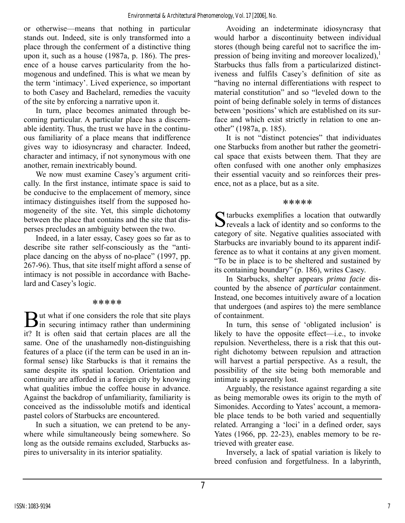or otherwise—means that nothing in particular stands out. Indeed, site is only transformed into a place through the conferment of a distinctive thing upon it, such as a house (1987a, p. 186). The presence of a house carves particularity from the homogenous and undefined. This is what we mean by the term 'intimacy'. Lived experience, so important to both Casey and Bachelard, remedies the vacuity of the site by enforcing a narrative upon it.

In turn, place becomes animated through becoming particular. A particular place has a discernable identity. Thus, the trust we have in the continuous familiarity of a place means that indifference gives way to idiosyncrasy and character. Indeed, character and intimacy, if not synonymous with one another, remain inextricably bound.

We now must examine Casey's argument critically. In the first instance, intimate space is said to be conducive to the emplacement of memory, since intimacy distinguishes itself from the supposed homogeneity of the site. Yet, this simple dichotomy between the place that contains and the site that disperses precludes an ambiguity between the two.

Indeed, in a later essay, Casey goes so far as to describe site rather self-consciously as the "antiplace dancing on the abyss of no-place" (1997, pp. 267-96). Thus, that site itself might afford a sense of intimacy is not possible in accordance with Bachelard and Casey's logic.

#### \*\*\*\*\*

ut what if one considers the role that site plays  $\mathbf{B}$ ut what if one considers the role that site plays<br>in securing intimacy rather than undermining it? It is often said that certain places are all the same. One of the unashamedly non-distinguishing features of a place (if the term can be used in an informal sense) like Starbucks is that it remains the same despite its spatial location. Orientation and continuity are afforded in a foreign city by knowing what qualities imbue the coffee house in advance. Against the backdrop of unfamiliarity, familiarity is conceived as the indissoluble motifs and identical pastel colors of Starbucks are encountered.

In such a situation, we can pretend to be anywhere while simultaneously being somewhere. So long as the outside remains excluded, Starbucks aspires to universality in its interior spatiality.

Avoiding an indeterminate idiosyncrasy that would harbor a discontinuity between individual stores (though being careful not to sacrifice the impression of being inviting and moreover localized), $\frac{1}{2}$ Starbucks thus falls from a particularized distinctiveness and fulfils Casey's definition of site as "having no internal differentiations with respect to material constitution" and so "leveled down to the point of being definable solely in terms of distances between 'positions' which are established on its surface and which exist strictly in relation to one another" (1987a, p. 185).

It is not "distinct potencies" that individuates one Starbucks from another but rather the geometrical space that exists between them. That they are often confused with one another only emphasizes their essential vacuity and so reinforces their presence, not as a place, but as a site.

#### \*\*\*\*\*

 $\Gamma$  tarbucks exemplifies a location that outwardly S tarbucks exemplifies a location that outwardly<br>S reveals a lack of identity and so conforms to the category of site. Negative qualities associated with Starbucks are invariably bound to its apparent indifference as to what it contains at any given moment. "To be in place is to be sheltered and sustained by its containing boundary" (p. 186), writes Casey.

In Starbucks, shelter appears *prima facie* discounted by the absence of *particular* containment. Instead, one becomes intuitively aware of a location that undergoes (and aspires to) the mere semblance of containment.

In turn, this sense of 'obligated inclusion' is likely to have the opposite effect—i.e., to invoke repulsion. Nevertheless, there is a risk that this outright dichotomy between repulsion and attraction will harvest a partial perspective. As a result, the possibility of the site being both memorable and intimate is apparently lost.

Arguably, the resistance against regarding a site as being memorable owes its origin to the myth of Simonides. According to Yates' account, a memorable place tends to be both varied and sequentially related. Arranging a 'loci' in a defined order, says Yates (1966, pp. 22-23), enables memory to be retrieved with greater ease.

Inversely, a lack of spatial variation is likely to breed confusion and forgetfulness. In a labyrinth,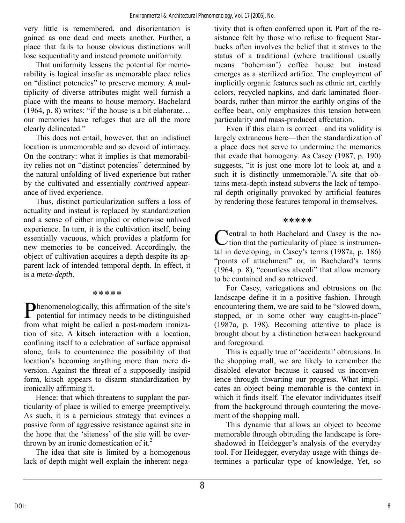very little is remembered, and disorientation is gained as one dead end meets another. Further, a place that fails to house obvious distinctions will lose sequentiality and instead promote uniformity.

That uniformity lessens the potential for memorability is logical insofar as memorable place relies on "distinct potencies" to preserve memory. A multiplicity of diverse attributes might well furnish a place with the means to house memory. Bachelard (1964, p. 8) writes: "if the house is a bit elaborate… our memories have refuges that are all the more clearly delineated."

This does not entail, however, that an indistinct location is unmemorable and so devoid of intimacy. On the contrary: what it implies is that memorability relies not on "distinct potencies" determined by the natural unfolding of lived experience but rather by the cultivated and essentially *contrived* appearance of lived experience.

Thus, distinct particularization suffers a loss of actuality and instead is replaced by standardization and a sense of either implied or otherwise unlived experience. In turn, it is the cultivation itself, being essentially vacuous, which provides a platform for new memories to be conceived. Accordingly, the object of cultivation acquires a depth despite its apparent lack of intended temporal depth. In effect, it is a *meta-depth*.

#### \*\*\*\*\*

**Thenomenologically, this affirmation of the site's** Phenomenologically, this affirmation of the site's<br>potential for intimacy needs to be distinguished from what might be called a post-modern ironization of site. A kitsch interaction with a location, confining itself to a celebration of surface appraisal alone, fails to countenance the possibility of that location's becoming anything more than mere diversion. Against the threat of a supposedly insipid form, kitsch appears to disarm standardization by ironically affirming it.

Hence: that which threatens to supplant the particularity of place is willed to emerge preemptively. As such, it is a pernicious strategy that evinces a passive form of aggressive resistance against site in the hope that the 'siteness' of the site will be overthrown by an ironic domestication of it. $<sup>2</sup>$ </sup>

The idea that site is limited by a homogenous lack of depth might well explain the inherent negativity that is often conferred upon it. Part of the resistance felt by those who refuse to frequent Starbucks often involves the belief that it strives to the status of a traditional (where traditional usually means 'bohemian') coffee house but instead emerges as a sterilized artifice. The employment of implicitly organic features such as ethnic art, earthly colors, recycled napkins, and dark laminated floorboards, rather than mirror the earthly origins of the coffee bean, only emphasizes this tension between particularity and mass-produced affectation.

Even if this claim is correct—and its validity is largely extraneous here—then the standardization of a place does not serve to undermine the memories that evade that homogeny. As Casey (1987, p. 190) suggests, "it is just one more lot to look at, and a such it is distinctly unmemorable."A site that obtains meta-depth instead subverts the lack of temporal depth originally provoked by artificial features by rendering those features temporal in themselves.

#### \*\*\*\*\*

entral to both Bachelard and Casey is the no-Central to both Bachelard and Casey is the no-<br>
ction that the particularity of place is instrumental in developing, in Casey's terms (1987a, p. 186) "points of attachment" or, in Bachelard's terms (1964, p. 8), "countless alveoli" that allow memory to be contained and so retrieved.

For Casey, variegations and obtrusions on the landscape define it in a positive fashion. Through encountering them, we are said to be "slowed down, stopped, or in some other way caught-in-place" (1987a, p. 198). Becoming attentive to place is brought about by a distinction between background and foreground.

This is equally true of 'accidental' obtrusions. In the shopping mall, we are likely to remember the disabled elevator because it caused us inconvenience through thwarting our progress. What implicates an object being memorable is the context in which it finds itself. The elevator individuates itself from the background through countering the movement of the shopping mall.

This dynamic that allows an object to become memorable through obtruding the landscape is foreshadowed in Heidegger's analysis of the everyday tool. For Heidegger, everyday usage with things determines a particular type of knowledge. Yet, so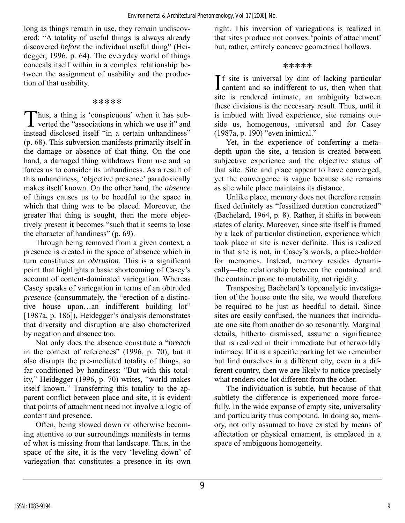long as things remain in use, they remain undiscovered: "A totality of useful things is always already discovered *before* the individual useful thing" (Heidegger, 1996, p. 64). The everyday world of things conceals itself within in a complex relationship between the assignment of usability and the production of that usability.

#### \*\*\*\*\*

Thus, a thing is 'conspicuous' when it has sub-<br>verted the "associations in which we use it" and verted the "associations in which we use it" and instead disclosed itself "in a certain unhandiness" (p. 68). This subversion manifests primarily itself in the damage or absence of that thing. On the one hand, a damaged thing withdraws from use and so forces us to consider its unhandiness. As a result of this unhandiness, 'objective presence' paradoxically makes itself known. On the other hand, the *absence* of things causes us to be heedful to the space in which that thing was to be placed. Moreover, the greater that thing is sought, then the more objectively present it becomes "such that it seems to lose the character of handiness" (p. 69).

Through being removed from a given context, a presence is created in the space of absence which in turn constitutes an *obtrusion*. This is a significant point that highlights a basic shortcoming of Casey's account of content-dominated variegation. Whereas Casey speaks of variegation in terms of an obtruded *presence* (consummately, the "erection of a distinctive house upon…an indifferent building lot" [1987a, p. 186]), Heidegger's analysis demonstrates that diversity and disruption are also characterized by negation and absence too.

Not only does the absence constitute a "*breach* in the context of references" (1996, p. 70), but it also disrupts the pre-mediated totality of things, so far conditioned by handiness: "But with this totality," Heidegger (1996, p. 70) writes, "world makes itself known." Transferring this totality to the apparent conflict between place and site, it is evident that points of attachment need not involve a logic of content and presence.

Often, being slowed down or otherwise becoming attentive to our surroundings manifests in terms of what is missing from that landscape. Thus, in the space of the site, it is the very 'leveling down' of variegation that constitutes a presence in its own

right. This inversion of variegations is realized in that sites produce not convex 'points of attachment' but, rather, entirely concave geometrical hollows.

#### \*\*\*\*\*

 $\mathbf{I}$  f site is universal by dint of lacking particular If site is universal by dint of lacking particular<br>content and so indifferent to us, then when that site is rendered intimate, an ambiguity between these divisions is the necessary result. Thus, until it is imbued with lived experience, site remains outside us, homogenous, universal and for Casey (1987a, p. 190) "even inimical."

Yet, in the experience of conferring a metadepth upon the site, a tension is created between subjective experience and the objective status of that site. Site and place appear to have converged, yet the convergence is vague because site remains as site while place maintains its distance.

Unlike place, memory does not therefore remain fixed definitely as "fossilized duration concretized" (Bachelard, 1964, p. 8). Rather, it shifts in between states of clarity. Moreover, since site itself is framed by a lack of particular distinction, experience which took place in site is never definite. This is realized in that site is not, in Casey's words, a place-holder for memories. Instead, memory resides dynamically—the relationship between the contained and the container prone to mutability, not rigidity.

Transposing Bachelard's topoanalytic investigation of the house onto the site, we would therefore be required to be just as heedful to detail. Since sites are easily confused, the nuances that individuate one site from another do so resonantly. Marginal details, hitherto dismissed, assume a significance that is realized in their immediate but otherworldly intimacy. If it is a specific parking lot we remember but find ourselves in a different city, even in a different country, then we are likely to notice precisely what renders one lot different from the other.

The individuation is subtle, but because of that subtlety the difference is experienced more forcefully. In the wide expanse of empty site, universality and particularity thus compound. In doing so, memory, not only assumed to have existed by means of affectation or physical ornament, is emplaced in a space of ambiguous homogeneity.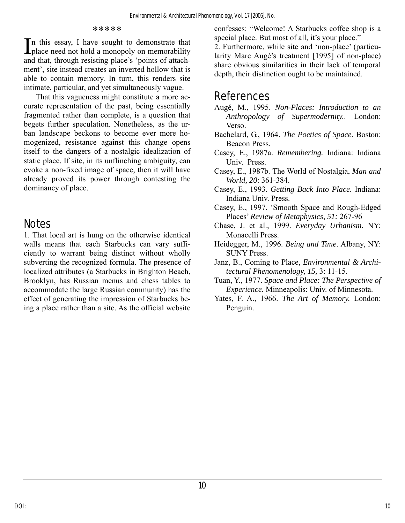#### \*\*\*\*\*

n this essay, I have sought to demonstrate that In this essay, I have sought to demonstrate that<br>
place need not hold a monopoly on memorability<br>
I 2. Furthermore, while site and 'non-place' (particu-<br>
larity Marc Augé's treatment [1995] of non-place) and that, through resisting place's 'points of attachment', site instead creates an inverted hollow that is able to contain memory. In turn, this renders site intimate, particular, and yet simultaneously vague.

That this vagueness might constitute a more accurate representation of the past, being essentially fragmented rather than complete, is a question that begets further speculation. Nonetheless, as the urban landscape beckons to become ever more homogenized, resistance against this change opens itself to the dangers of a nostalgic idealization of static place. If site, in its unflinching ambiguity, can evoke a non-fixed image of space, then it will have already proved its power through contesting the dominancy of place.

## **Notes**

1. That local art is hung on the otherwise identical walls means that each Starbucks can vary sufficiently to warrant being distinct without wholly subverting the recognized formula. The presence of localized attributes (a Starbucks in Brighton Beach, Brooklyn, has Russian menus and chess tables to accommodate the large Russian community) has the effect of generating the impression of Starbucks being a place rather than a site. As the official website

confesses: "Welcome! A Starbucks coffee shop is a

larity Marc Augé's treatment [1995] of non-place) share obvious similarities in their lack of temporal depth, their distinction ought to be maintained.

## **References**

- Augé, M., 1995. *Non-Places: Introduction to an Anthropology of Supermodernity.*. London: Verso.
- Bachelard, G., 1964. *The Poetics of Space.* Boston: Beacon Press.
- Casey, E., 1987a. *Remembering.* Indiana: Indiana Univ. Press.
- Casey, E., 1987b. The World of Nostalgia, *Man and World, 20*: 361-384.
- Casey, E., 1993. *Getting Back Into Place.* Indiana: Indiana Univ. Press.
- Casey, E., 1997. 'Smooth Space and Rough-Edged Places' *Review of Metaphysics*, *51:* 267-96
- Chase, J. et al., 1999. *Everyday Urbanism.* NY: Monacelli Press.
- Heidegger, M., 1996. *Being and Time*. Albany, NY: SUNY Press.
- Janz, B., Coming to Place, *Environmental & Architectural Phenomenology, 15,* 3: 11-15.
- Tuan, Y., 1977. *Space and Place: The Perspective of Experience.* Minneapolis: Univ. of Minnesota.
- Yates, F. A., 1966. *The Art of Memory.* London: Penguin.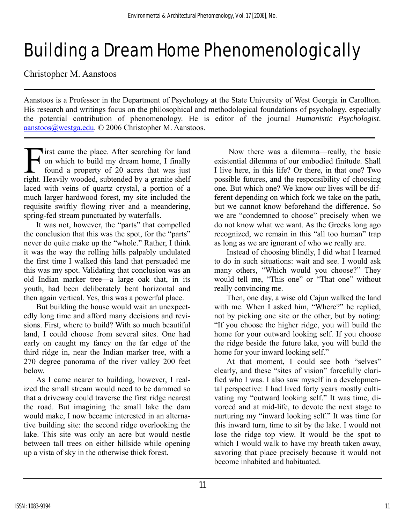# Building a Dream Home Phenomenologically

Christopher M. Aanstoos

Aanstoos is a Professor in the Department of Psychology at the State University of West Georgia in Carollton. His research and writings focus on the philosophical and methodological foundations of psychology, especially the potential contribution of phenomenology. He is editor of the journal *Humanistic Psychologist*. [aanstoos@westga.edu](mailto:aanstoos@westga.edu). © 2006 Christopher M. Aanstoos.

**Tirst came the place.** After searching for land on which to build my dream home, I finally found a property of 20 acres that was just It is came the place. After searching for land<br>on which to build my dream home, I finally<br>found a property of 20 acres that was just<br>right. Heavily wooded, subtended by a granite shelf laced with veins of quartz crystal, a portion of a much larger hardwood forest, my site included the requisite swiftly flowing river and a meandering, spring-fed stream punctuated by waterfalls.

It was not, however, the "parts" that compelled the conclusion that this was the spot, for the "parts" never do quite make up the "whole." Rather, I think it was the way the rolling hills palpably undulated the first time I walked this land that persuaded me this was my spot. Validating that conclusion was an old Indian marker tree—a large oak that, in its youth, had been deliberately bent horizontal and then again vertical. Yes, this was a powerful place.

But building the house would wait an unexpectedly long time and afford many decisions and revisions. First, where to build? With so much beautiful land, I could choose from several sites. One had early on caught my fancy on the far edge of the third ridge in, near the Indian marker tree, with a 270 degree panorama of the river valley 200 feet below.

As I came nearer to building, however, I realized the small stream would need to be dammed so that a driveway could traverse the first ridge nearest the road. But imagining the small lake the dam would make, I now became interested in an alternative building site: the second ridge overlooking the lake. This site was only an acre but would nestle between tall trees on either hillside while opening up a vista of sky in the otherwise thick forest.

 Now there was a dilemma—really, the basic existential dilemma of our embodied finitude. Shall I live here, in this life? Or there, in that one? Two possible futures, and the responsibility of choosing one. But which one? We know our lives will be different depending on which fork we take on the path, but we cannot know beforehand the difference. So we are "condemned to choose" precisely when we do not know what we want. As the Greeks long ago recognized, we remain in this "all too human" trap as long as we are ignorant of who we really are.

Instead of choosing blindly, I did what I learned to do in such situations: wait and see. I would ask many others, "Which would you choose?" They would tell me, "This one" or "That one" without really convincing me.

Then, one day, a wise old Cajun walked the land with me. When I asked him, "Where?" he replied, not by picking one site or the other, but by noting: "If you choose the higher ridge, you will build the home for your outward looking self. If you choose the ridge beside the future lake, you will build the home for your inward looking self."

At that moment, I could see both "selves" clearly, and these "sites of vision" forcefully clarified who I was. I also saw myself in a developmental perspective: I had lived forty years mostly cultivating my "outward looking self." It was time, divorced and at mid-life, to devote the next stage to nurturing my "inward looking self." It was time for this inward turn, time to sit by the lake. I would not lose the ridge top view. It would be the spot to which I would walk to have my breath taken away, savoring that place precisely because it would not become inhabited and habituated.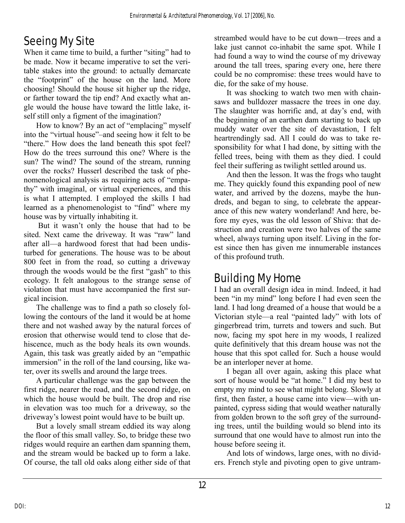# Seeing My Site

When it came time to build, a further "siting" had to be made. Now it became imperative to set the veritable stakes into the ground: to actually demarcate the "footprint" of the house on the land. More choosing! Should the house sit higher up the ridge, or farther toward the tip end? And exactly what angle would the house have toward the little lake, itself still only a figment of the imagination?

How to know? By an act of "emplacing" myself into the "virtual house"–and seeing how it felt to be "there." How does the land beneath this spot feel? How do the trees surround this one? Where is the sun? The wind? The sound of the stream, running over the rocks? Husserl described the task of phenomenological analysis as requiring acts of "empathy" with imaginal, or virtual experiences, and this is what I attempted. I employed the skills I had learned as a phenomenologist to "find" where my house was by virtually inhabiting it.

 But it wasn't only the house that had to be sited. Next came the driveway. It was "raw" land after all—a hardwood forest that had been undisturbed for generations. The house was to be about 800 feet in from the road, so cutting a driveway through the woods would be the first "gash" to this ecology. It felt analogous to the strange sense of violation that must have accompanied the first surgical incision.

The challenge was to find a path so closely following the contours of the land it would be at home there and not washed away by the natural forces of erosion that otherwise would tend to close that dehiscence, much as the body heals its own wounds. Again, this task was greatly aided by an "empathic immersion" in the roll of the land coursing, like water, over its swells and around the large trees.

A particular challenge was the gap between the first ridge, nearer the road, and the second ridge, on which the house would be built. The drop and rise in elevation was too much for a driveway, so the driveway's lowest point would have to be built up.

But a lovely small stream eddied its way along the floor of this small valley. So, to bridge these two ridges would require an earthen dam spanning them, and the stream would be backed up to form a lake. Of course, the tall old oaks along either side of that

streambed would have to be cut down—trees and a lake just cannot co-inhabit the same spot. While I had found a way to wind the course of my driveway around the tall trees, sparing every one, here there could be no compromise: these trees would have to die, for the sake of my house.

It was shocking to watch two men with chainsaws and bulldozer massacre the trees in one day. The slaughter was horrific and, at day's end, with the beginning of an earthen dam starting to back up muddy water over the site of devastation, I felt heartrendingly sad. All I could do was to take responsibility for what I had done, by sitting with the felled trees, being with them as they died. I could feel their suffering as twilight settled around us.

And then the lesson. It was the frogs who taught me. They quickly found this expanding pool of new water, and arrived by the dozens, maybe the hundreds, and began to sing, to celebrate the appearance of this new watery wonderland! And here, before my eyes, was the old lesson of Shiva: that destruction and creation were two halves of the same wheel, always turning upon itself. Living in the forest since then has given me innumerable instances of this profound truth.

## Building My Home

I had an overall design idea in mind. Indeed, it had been "in my mind" long before I had even seen the land. I had long dreamed of a house that would be a Victorian style—a real "painted lady" with lots of gingerbread trim, turrets and towers and such. But now, facing my spot here in my woods, I realized quite definitively that this dream house was not the house that this spot called for. Such a house would be an interloper never at home.

I began all over again, asking this place what sort of house would be "at home." I did my best to empty my mind to see what might belong. Slowly at first, then faster, a house came into view—with unpainted, cypress siding that would weather naturally from golden brown to the soft grey of the surrounding trees, until the building would so blend into its surround that one would have to almost run into the house before seeing it.

And lots of windows, large ones, with no dividers. French style and pivoting open to give untram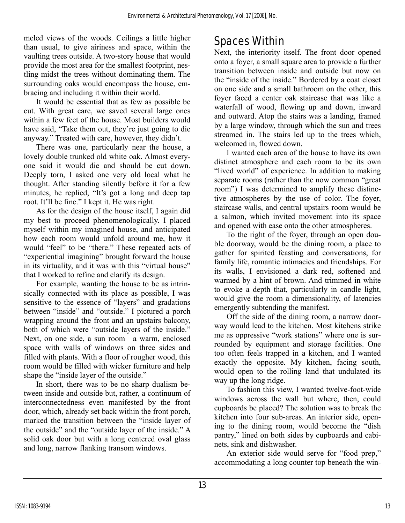meled views of the woods. Ceilings a little higher than usual, to give airiness and space, within the vaulting trees outside. A two-story house that would provide the most area for the smallest footprint, nestling midst the trees without dominating them. The surrounding oaks would encompass the house, embracing and including it within their world.

It would be essential that as few as possible be cut. With great care, we saved several large ones within a few feet of the house. Most builders would have said, "Take them out, they're just going to die anyway." Treated with care, however, they didn't.

There was one, particularly near the house, a lovely double trunked old white oak. Almost everyone said it would die and should be cut down. Deeply torn, I asked one very old local what he thought. After standing silently before it for a few minutes, he replied, "It's got a long and deep tap root. It'll be fine." I kept it. He was right.

As for the design of the house itself, I again did my best to proceed phenomenologically. I placed myself within my imagined house, and anticipated how each room would unfold around me, how it would "feel" to be "there." These repeated acts of "experiential imagining" brought forward the house in its virtuality, and it was with this "virtual house" that I worked to refine and clarify its design.

For example, wanting the house to be as intrinsically connected with its place as possible, I was sensitive to the essence of "layers" and gradations between "inside" and "outside." I pictured a porch wrapping around the front and an upstairs balcony, both of which were "outside layers of the inside." Next, on one side, a sun room—a warm, enclosed space with walls of windows on three sides and filled with plants. With a floor of rougher wood, this room would be filled with wicker furniture and help shape the "inside layer of the outside."

In short, there was to be no sharp dualism between inside and outside but, rather, a continuum of interconnectedness even manifested by the front door, which, already set back within the front porch, marked the transition between the "inside layer of the outside" and the "outside layer of the inside." A solid oak door but with a long centered oval glass and long, narrow flanking transom windows.

# Spaces Within

Next, the interiority itself. The front door opened onto a foyer, a small square area to provide a further transition between inside and outside but now on the "inside of the inside." Bordered by a coat closet on one side and a small bathroom on the other, this foyer faced a center oak staircase that was like a waterfall of wood, flowing up and down, inward and outward. Atop the stairs was a landing, framed by a large window, through which the sun and trees streamed in. The stairs led up to the trees which, welcomed in, flowed down.

I wanted each area of the house to have its own distinct atmosphere and each room to be its own "lived world" of experience. In addition to making separate rooms (rather than the now common "great room") I was determined to amplify these distinctive atmospheres by the use of color. The foyer, staircase walls, and central upstairs room would be a salmon, which invited movement into its space and opened with ease onto the other atmospheres.

To the right of the foyer, through an open double doorway, would be the dining room, a place to gather for spirited feasting and conversations, for family life, romantic intimacies and friendships. For its walls, I envisioned a dark red, softened and warmed by a hint of brown. And trimmed in white to evoke a depth that, particularly in candle light, would give the room a dimensionality, of latencies emergently subtending the manifest.

Off the side of the dining room, a narrow doorway would lead to the kitchen. Most kitchens strike me as oppressive "work stations" where one is surrounded by equipment and storage facilities. One too often feels trapped in a kitchen, and I wanted exactly the opposite. My kitchen, facing south, would open to the rolling land that undulated its way up the long ridge.

To fashion this view, I wanted twelve-foot-wide windows across the wall but where, then, could cupboards be placed? The solution was to break the kitchen into four sub-areas. An interior side, opening to the dining room, would become the "dish pantry," lined on both sides by cupboards and cabinets, sink and dishwasher.

An exterior side would serve for "food prep," accommodating a long counter top beneath the win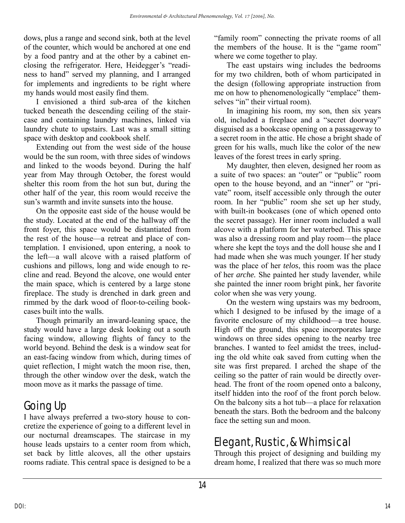dows, plus a range and second sink, both at the level of the counter, which would be anchored at one end by a food pantry and at the other by a cabinet enclosing the refrigerator. Here, Heidegger's "readiness to hand" served my planning, and I arranged for implements and ingredients to be right where my hands would most easily find them.

I envisioned a third sub-area of the kitchen tucked beneath the descending ceiling of the staircase and containing laundry machines, linked via laundry chute to upstairs. Last was a small sitting space with desktop and cookbook shelf.

Extending out from the west side of the house would be the sun room, with three sides of windows and linked to the woods beyond. During the half year from May through October, the forest would shelter this room from the hot sun but, during the other half of the year, this room would receive the sun's warmth and invite sunsets into the house.

On the opposite east side of the house would be the study. Located at the end of the hallway off the front foyer, this space would be distantiated from the rest of the house—a retreat and place of contemplation. I envisioned, upon entering, a nook to the left—a wall alcove with a raised platform of cushions and pillows, long and wide enough to recline and read. Beyond the alcove, one would enter the main space, which is centered by a large stone fireplace. The study is drenched in dark green and rimmed by the dark wood of floor-to-ceiling bookcases built into the walls.

Though primarily an inward-leaning space, the study would have a large desk looking out a south facing window, allowing flights of fancy to the world beyond. Behind the desk is a window seat for an east-facing window from which, during times of quiet reflection, I might watch the moon rise, then, through the other window over the desk, watch the moon move as it marks the passage of time.

# Going Up

I have always preferred a two-story house to concretize the experience of going to a different level in our nocturnal dreamscapes. The staircase in my house leads upstairs to a center room from which, set back by little alcoves, all the other upstairs rooms radiate. This central space is designed to be a "family room" connecting the private rooms of all the members of the house. It is the "game room" where we come together to play.

The east upstairs wing includes the bedrooms for my two children, both of whom participated in the design (following appropriate instruction from me on how to phenomenologically "emplace" themselves "in" their virtual room).

In imagining his room, my son, then six years old, included a fireplace and a "secret doorway" disguised as a bookcase opening on a passageway to a secret room in the attic. He chose a bright shade of green for his walls, much like the color of the new leaves of the forest trees in early spring.

My daughter, then eleven, designed her room as a suite of two spaces: an "outer" or "public" room open to the house beyond, and an "inner" or "private" room, itself accessible only through the outer room. In her "public" room she set up her study, with built-in bookcases (one of which opened onto the secret passage). Her inner room included a wall alcove with a platform for her waterbed. This space was also a dressing room and play room—the place where she kept the toys and the doll house she and I had made when she was much younger. If her study was the place of her *telos*, this room was the place of her *arche.* She painted her study lavender, while she painted the inner room bright pink, her favorite color when she was very young.

On the western wing upstairs was my bedroom, which I designed to be infused by the image of a favorite enclosure of my childhood—a tree house. High off the ground, this space incorporates large windows on three sides opening to the nearby tree branches. I wanted to feel amidst the trees, including the old white oak saved from cutting when the site was first prepared. I arched the shape of the ceiling so the patter of rain would be directly overhead. The front of the room opened onto a balcony, itself hidden into the roof of the front porch below. On the balcony sits a hot tub—a place for relaxation beneath the stars. Both the bedroom and the balcony face the setting sun and moon.

# Elegant, Rustic, & Whimsical

Through this project of designing and building my dream home, I realized that there was so much more